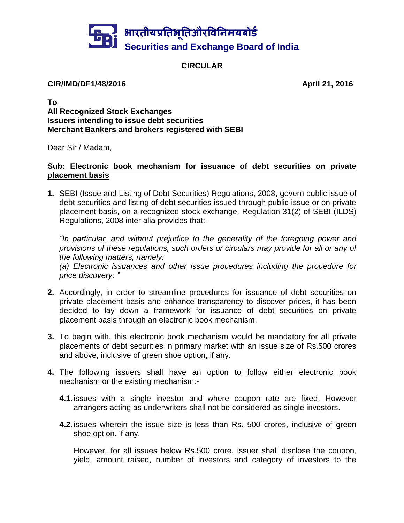

## **CIRCULAR**

#### **CIR/IMD/DF1/48/2016 April 21, 2016**

**To All Recognized Stock Exchanges Issuers intending to issue debt securities Merchant Bankers and brokers registered with SEBI**

Dear Sir / Madam,

# **Sub: Electronic book mechanism for issuance of debt securities on private placement basis**

**1.** SEBI (Issue and Listing of Debt Securities) Regulations, 2008, govern public issue of debt securities and listing of debt securities issued through public issue or on private placement basis, on a recognized stock exchange. Regulation 31(2) of SEBI (ILDS) Regulations, 2008 inter alia provides that:-

*"In particular, and without prejudice to the generality of the foregoing power and provisions of these regulations, such orders or circulars may provide for all or any of the following matters, namely:*

*(a) Electronic issuances and other issue procedures including the procedure for price discovery; "*

- **2.** Accordingly, in order to streamline procedures for issuance of debt securities on private placement basis and enhance transparency to discover prices, it has been decided to lay down a framework for issuance of debt securities on private placement basis through an electronic book mechanism.
- **3.** To begin with, this electronic book mechanism would be mandatory for all private placements of debt securities in primary market with an issue size of Rs.500 crores and above, inclusive of green shoe option, if any.
- **4.** The following issuers shall have an option to follow either electronic book mechanism or the existing mechanism:-
	- **4.1.**issues with a single investor and where coupon rate are fixed. However arrangers acting as underwriters shall not be considered as single investors.
	- **4.2.**issues wherein the issue size is less than Rs. 500 crores, inclusive of green shoe option, if any.

However, for all issues below Rs.500 crore, issuer shall disclose the coupon, yield, amount raised, number of investors and category of investors to the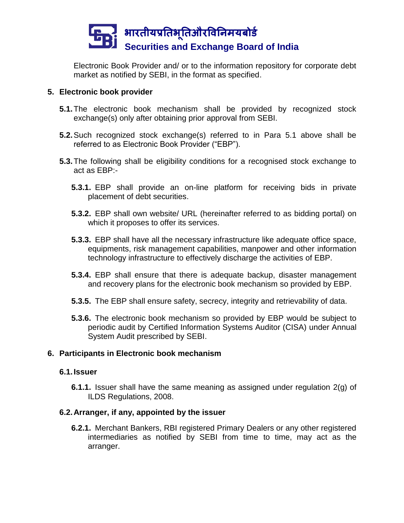

Electronic Book Provider and/ or to the information repository for corporate debt market as notified by SEBI, in the format as specified.

## **5. Electronic book provider**

- **5.1.**The electronic book mechanism shall be provided by recognized stock exchange(s) only after obtaining prior approval from SEBI.
- **5.2.**Such recognized stock exchange(s) referred to in Para 5.1 above shall be referred to as Electronic Book Provider ("EBP").
- **5.3.**The following shall be eligibility conditions for a recognised stock exchange to act as EBP:-
	- **5.3.1.** EBP shall provide an on-line platform for receiving bids in private placement of debt securities.
	- **5.3.2.** EBP shall own website/ URL (hereinafter referred to as bidding portal) on which it proposes to offer its services.
	- **5.3.3.** EBP shall have all the necessary infrastructure like adequate office space, equipments, risk management capabilities, manpower and other information technology infrastructure to effectively discharge the activities of EBP.
	- **5.3.4.** EBP shall ensure that there is adequate backup, disaster management and recovery plans for the electronic book mechanism so provided by EBP.
	- **5.3.5.** The EBP shall ensure safety, secrecy, integrity and retrievability of data.
	- **5.3.6.** The electronic book mechanism so provided by EBP would be subject to periodic audit by Certified Information Systems Auditor (CISA) under Annual System Audit prescribed by SEBI.

## **6. Participants in Electronic book mechanism**

## **6.1.Issuer**

**6.1.1.** Issuer shall have the same meaning as assigned under regulation 2(g) of ILDS Regulations, 2008.

## **6.2.Arranger, if any, appointed by the issuer**

**6.2.1.** Merchant Bankers, RBI registered Primary Dealers or any other registered intermediaries as notified by SEBI from time to time, may act as the arranger.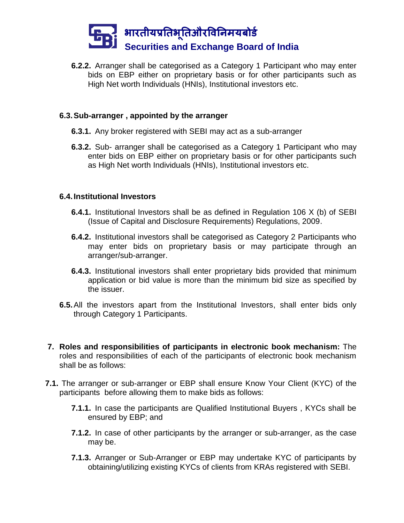

**6.2.2.** Arranger shall be categorised as a Category 1 Participant who may enter bids on EBP either on proprietary basis or for other participants such as High Net worth Individuals (HNIs), Institutional investors etc.

### **6.3.Sub-arranger , appointed by the arranger**

- **6.3.1.** Any broker registered with SEBI may act as a sub-arranger
- **6.3.2.** Sub- arranger shall be categorised as a Category 1 Participant who may enter bids on EBP either on proprietary basis or for other participants such as High Net worth Individuals (HNIs), Institutional investors etc.

### **6.4.Institutional Investors**

- **6.4.1.** Institutional Investors shall be as defined in Regulation 106 X (b) of SEBI (Issue of Capital and Disclosure Requirements) Regulations, 2009.
- **6.4.2.** Institutional investors shall be categorised as Category 2 Participants who may enter bids on proprietary basis or may participate through an arranger/sub-arranger.
- **6.4.3.** Institutional investors shall enter proprietary bids provided that minimum application or bid value is more than the minimum bid size as specified by the issuer.
- **6.5.**All the investors apart from the Institutional Investors, shall enter bids only through Category 1 Participants.
- **7. Roles and responsibilities of participants in electronic book mechanism:** The roles and responsibilities of each of the participants of electronic book mechanism shall be as follows:
- **7.1.** The arranger or sub-arranger or EBP shall ensure Know Your Client (KYC) of the participants before allowing them to make bids as follows:
	- **7.1.1.** In case the participants are Qualified Institutional Buyers , KYCs shall be ensured by EBP; and
	- **7.1.2.** In case of other participants by the arranger or sub-arranger, as the case may be.
	- **7.1.3.** Arranger or Sub-Arranger or EBP may undertake KYC of participants by obtaining/utilizing existing KYCs of clients from KRAs registered with SEBI.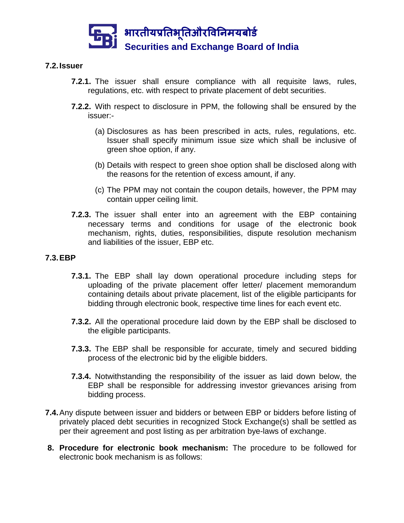

## **7.2.Issuer**

- **7.2.1.** The issuer shall ensure compliance with all requisite laws, rules, regulations, etc. with respect to private placement of debt securities.
- **7.2.2.** With respect to disclosure in PPM, the following shall be ensured by the issuer:-
	- (a) Disclosures as has been prescribed in acts, rules, regulations, etc. Issuer shall specify minimum issue size which shall be inclusive of green shoe option, if any.
	- (b) Details with respect to green shoe option shall be disclosed along with the reasons for the retention of excess amount, if any.
	- (c) The PPM may not contain the coupon details, however, the PPM may contain upper ceiling limit.
- **7.2.3.** The issuer shall enter into an agreement with the EBP containing necessary terms and conditions for usage of the electronic book mechanism, rights, duties, responsibilities, dispute resolution mechanism and liabilities of the issuer, EBP etc.

#### **7.3.EBP**

- **7.3.1.** The EBP shall lay down operational procedure including steps for uploading of the private placement offer letter/ placement memorandum containing details about private placement, list of the eligible participants for bidding through electronic book, respective time lines for each event etc.
- **7.3.2.** All the operational procedure laid down by the EBP shall be disclosed to the eligible participants.
- **7.3.3.** The EBP shall be responsible for accurate, timely and secured bidding process of the electronic bid by the eligible bidders.
- **7.3.4.** Notwithstanding the responsibility of the issuer as laid down below, the EBP shall be responsible for addressing investor grievances arising from bidding process.
- **7.4.**Any dispute between issuer and bidders or between EBP or bidders before listing of privately placed debt securities in recognized Stock Exchange(s) shall be settled as per their agreement and post listing as per arbitration bye-laws of exchange.
- **8. Procedure for electronic book mechanism:** The procedure to be followed for electronic book mechanism is as follows: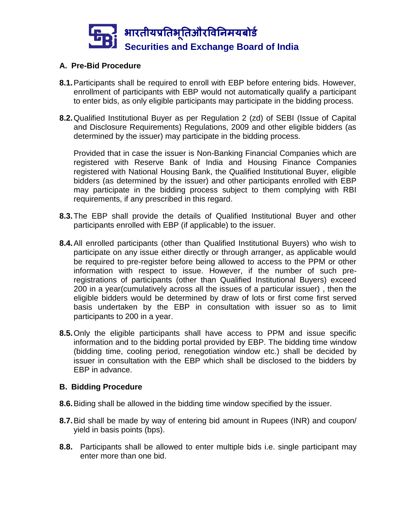

## **A. Pre-Bid Procedure**

- **8.1.**Participants shall be required to enroll with EBP before entering bids. However, enrollment of participants with EBP would not automatically qualify a participant to enter bids, as only eligible participants may participate in the bidding process.
- **8.2.**Qualified Institutional Buyer as per Regulation 2 (zd) of SEBI (Issue of Capital and Disclosure Requirements) Regulations, 2009 and other eligible bidders (as determined by the issuer) may participate in the bidding process.

Provided that in case the issuer is Non-Banking Financial Companies which are registered with Reserve Bank of India and Housing Finance Companies registered with National Housing Bank, the Qualified Institutional Buyer, eligible bidders (as determined by the issuer) and other participants enrolled with EBP may participate in the bidding process subject to them complying with RBI requirements, if any prescribed in this regard.

- **8.3.**The EBP shall provide the details of Qualified Institutional Buyer and other participants enrolled with EBP (if applicable) to the issuer.
- **8.4.**All enrolled participants (other than Qualified Institutional Buyers) who wish to participate on any issue either directly or through arranger, as applicable would be required to pre-register before being allowed to access to the PPM or other information with respect to issue. However, if the number of such preregistrations of participants (other than Qualified Institutional Buyers) exceed 200 in a year(cumulatively across all the issues of a particular issuer) , then the eligible bidders would be determined by draw of lots or first come first served basis undertaken by the EBP in consultation with issuer so as to limit participants to 200 in a year.
- **8.5.**Only the eligible participants shall have access to PPM and issue specific information and to the bidding portal provided by EBP. The bidding time window (bidding time, cooling period, renegotiation window etc.) shall be decided by issuer in consultation with the EBP which shall be disclosed to the bidders by EBP in advance.

## **B. Bidding Procedure**

- **8.6.**Biding shall be allowed in the bidding time window specified by the issuer.
- **8.7.**Bid shall be made by way of entering bid amount in Rupees (INR) and coupon/ yield in basis points (bps).
- **8.8.** Participants shall be allowed to enter multiple bids i.e. single participant may enter more than one bid.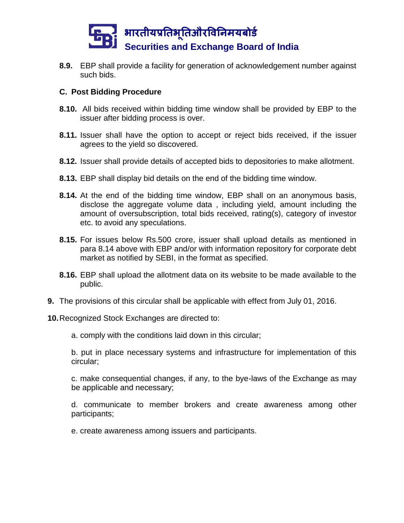

**8.9.** EBP shall provide a facility for generation of acknowledgement number against such bids.

### **C. Post Bidding Procedure**

- **8.10.** All bids received within bidding time window shall be provided by EBP to the issuer after bidding process is over.
- **8.11.** Issuer shall have the option to accept or reject bids received, if the issuer agrees to the yield so discovered.
- **8.12.** Issuer shall provide details of accepted bids to depositories to make allotment.
- **8.13.** EBP shall display bid details on the end of the bidding time window.
- **8.14.** At the end of the bidding time window, EBP shall on an anonymous basis, disclose the aggregate volume data , including yield, amount including the amount of oversubscription, total bids received, rating(s), category of investor etc. to avoid any speculations.
- **8.15.** For issues below Rs.500 crore, issuer shall upload details as mentioned in para 8.14 above with EBP and/or with information repository for corporate debt market as notified by SEBI, in the format as specified.
- **8.16.** EBP shall upload the allotment data on its website to be made available to the public.
- **9.** The provisions of this circular shall be applicable with effect from July 01, 2016.

**10.**Recognized Stock Exchanges are directed to:

a. comply with the conditions laid down in this circular;

b. put in place necessary systems and infrastructure for implementation of this circular;

c. make consequential changes, if any, to the bye-laws of the Exchange as may be applicable and necessary;

d. communicate to member brokers and create awareness among other participants;

e. create awareness among issuers and participants.